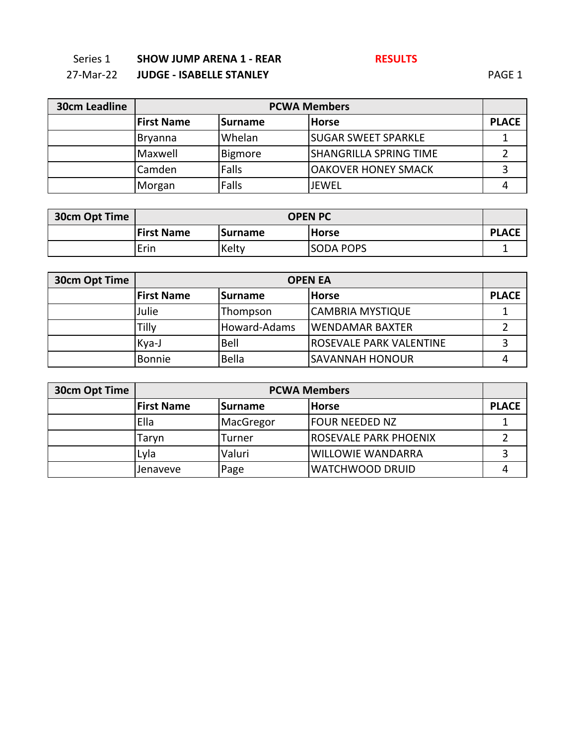### 27-Mar-22 **JUDGE - ISABELLE STANLEY** PAGE 1

| <b>30cm Leadline</b> |                   | <b>PCWA Members</b> |                               |              |
|----------------------|-------------------|---------------------|-------------------------------|--------------|
|                      | <b>First Name</b> | Surname             | <b>Horse</b>                  | <b>PLACE</b> |
|                      | <b>Bryanna</b>    | Whelan              | <b>SUGAR SWEET SPARKLE</b>    |              |
|                      | Maxwell           | Bigmore             | <b>SHANGRILLA SPRING TIME</b> |              |
|                      | Camden            | Falls               | OAKOVER HONEY SMACK           |              |
|                      | Morgan            | Falls               | <b>JEWEL</b>                  |              |

| 30cm Opt Time | <b>OPEN PC</b>                                      |       |                  |  |
|---------------|-----------------------------------------------------|-------|------------------|--|
|               | <b>First Name</b><br><b>Horse</b><br><b>Surname</b> |       |                  |  |
|               | 'Erin                                               | Kelty | <b>SODA POPS</b> |  |

| <b>30cm Opt Time</b> | <b>OPEN EA</b>    |              |                                |              |
|----------------------|-------------------|--------------|--------------------------------|--------------|
|                      | <b>First Name</b> | Surname      | <b>IHorse</b>                  | <b>PLACE</b> |
|                      | Julie             | Thompson     | <b>CAMBRIA MYSTIQUE</b>        |              |
|                      | Tilly             | Howard-Adams | lWENDAMAR BAXTER               |              |
|                      | Kya-J             | Bell         | <b>ROSEVALE PARK VALENTINE</b> |              |
|                      | <b>Bonnie</b>     | Bella        | <b>SAVANNAH HONOUR</b>         |              |

| <b>30cm Opt Time</b> |                   | <b>PCWA Members</b> |                              |              |
|----------------------|-------------------|---------------------|------------------------------|--------------|
|                      | <b>First Name</b> | <b>Surname</b>      | <b>Horse</b>                 | <b>PLACE</b> |
|                      | Ella              | MacGregor           | <b>FOUR NEEDED NZ</b>        |              |
|                      | Tarvn             | Turner              | <b>ROSEVALE PARK PHOENIX</b> |              |
|                      | Lyla              | Valuri              | <b>WILLOWIE WANDARRA</b>     |              |
|                      | Jenaveve          | Page                | <b>WATCHWOOD DRUID</b>       |              |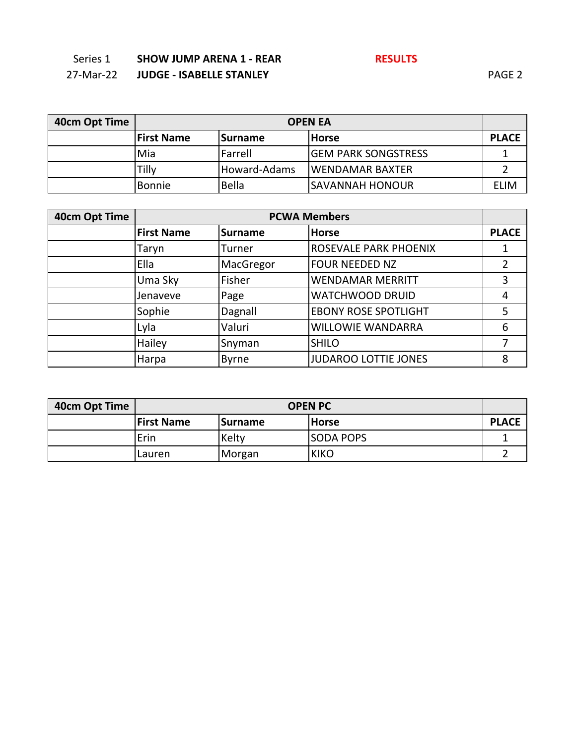| 27-Mar-22 | <b>JUDGE - ISABELLE STANLEY</b> | PAGE <sub>2</sub> |
|-----------|---------------------------------|-------------------|
|           |                                 |                   |

| 40cm Opt Time | <b>OPEN EA</b>    |                 |                             |              |
|---------------|-------------------|-----------------|-----------------------------|--------------|
|               | <b>First Name</b> | <b>ISurname</b> | <b>IHorse</b>               | <b>PLACE</b> |
|               | Mia               | <b>Farrell</b>  | <b>IGEM PARK SONGSTRESS</b> |              |
|               | Tillv             | Howard-Adams    | <b>IWENDAMAR BAXTER</b>     |              |
|               | Bonnie            | <b>Bella</b>    | ISAVANNAH HONOUR            | ELIM         |

| 40cm Opt Time | <b>PCWA Members</b> |                |                             |              |
|---------------|---------------------|----------------|-----------------------------|--------------|
|               | <b>First Name</b>   | <b>Surname</b> | <b>Horse</b>                | <b>PLACE</b> |
|               | Taryn               | Turner         | ROSEVALE PARK PHOENIX       |              |
|               | Ella                | MacGregor      | <b>FOUR NEEDED NZ</b>       | 2            |
|               | Uma Sky             | Fisher         | <b>WENDAMAR MERRITT</b>     | 3            |
|               | Jenaveve            | Page           | <b>WATCHWOOD DRUID</b>      | 4            |
|               | Sophie              | Dagnall        | <b>EBONY ROSE SPOTLIGHT</b> | 5            |
|               | Lyla                | Valuri         | <b>WILLOWIE WANDARRA</b>    | 6            |
|               | Hailey              | Snyman         | <b>SHILO</b>                |              |
|               | Harpa               | <b>Byrne</b>   | <b>JUDAROO LOTTIE JONES</b> | 8            |

| 40cm Opt Time | <b>OPEN PC</b>    |                |                  |              |
|---------------|-------------------|----------------|------------------|--------------|
|               | <b>First Name</b> | <b>Surname</b> | <b>Horse</b>     | <b>PLACE</b> |
|               | Erin              | Kelty          | <b>SODA POPS</b> |              |
|               | Lauren            | Morgan         | <b>KIKO</b>      |              |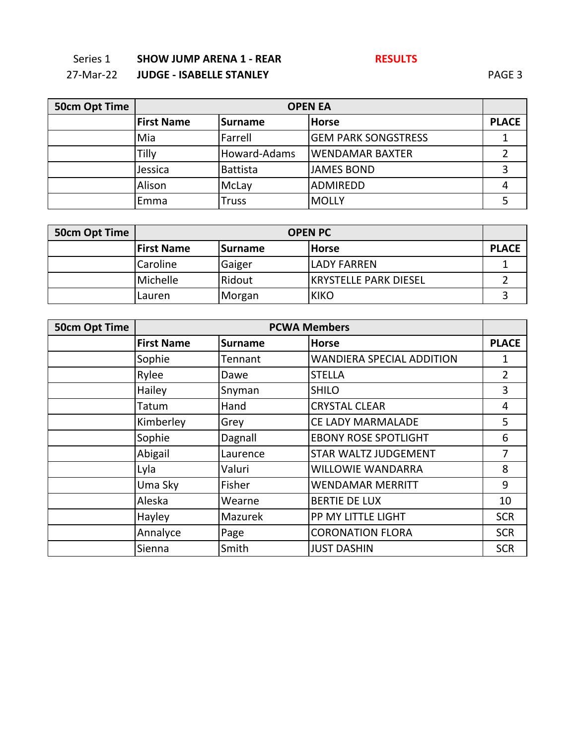27-Mar-22 **JUDGE - ISABELLE STANLEY** PAGE 3

| 50cm Opt Time | <b>OPEN EA</b>    |              |                            |              |
|---------------|-------------------|--------------|----------------------------|--------------|
|               | <b>First Name</b> | Surname      | <b>Horse</b>               | <b>PLACE</b> |
|               | Mia               | Farrell      | <b>GEM PARK SONGSTRESS</b> |              |
|               | Tilly             | Howard-Adams | <b>WENDAMAR BAXTER</b>     |              |
|               | Jessica           | Battista     | <b>JAMES BOND</b>          |              |
|               | Alison            | McLay        | <b>ADMIREDD</b>            |              |
|               | Emma              | Truss        | <b>MOLLY</b>               |              |

| 50cm Opt Time | <b>OPEN PC</b>    |                |                        |              |
|---------------|-------------------|----------------|------------------------|--------------|
|               | <b>First Name</b> | <b>Surname</b> | <b>Horse</b>           | <b>PLACE</b> |
|               | Caroline          | Gaiger         | <b>LADY FARREN</b>     |              |
|               | Michelle          | Ridout         | IKRYSTELLE PARK DIESEL |              |
|               | Lauren            | Morgan         | <b>KIKO</b>            |              |

| <b>50cm Opt Time</b> |                   |                | <b>PCWA Members</b>              |                |
|----------------------|-------------------|----------------|----------------------------------|----------------|
|                      | <b>First Name</b> | <b>Surname</b> | <b>Horse</b>                     | <b>PLACE</b>   |
|                      | Sophie            | Tennant        | <b>WANDIERA SPECIAL ADDITION</b> | 1              |
|                      | Rylee             | Dawe           | <b>STELLA</b>                    | $\overline{2}$ |
|                      | Hailey            | Snyman         | <b>SHILO</b>                     | 3              |
|                      | Tatum             | Hand           | <b>CRYSTAL CLEAR</b>             | 4              |
|                      | Kimberley         | Grey           | CE LADY MARMALADE                | 5              |
|                      | Sophie            | Dagnall        | <b>EBONY ROSE SPOTLIGHT</b>      | 6              |
|                      | Abigail           | Laurence       | STAR WALTZ JUDGEMENT             | 7              |
|                      | Lyla              | Valuri         | <b>WILLOWIE WANDARRA</b>         | 8              |
|                      | Uma Sky           | Fisher         | <b>WENDAMAR MERRITT</b>          | 9              |
|                      | Aleska            | Wearne         | <b>BERTIE DE LUX</b>             | 10             |
|                      | Hayley            | Mazurek        | PP MY LITTLE LIGHT               | <b>SCR</b>     |
|                      | Annalyce          | Page           | <b>CORONATION FLORA</b>          | <b>SCR</b>     |
|                      | Sienna            | Smith          | <b>JUST DASHIN</b>               | <b>SCR</b>     |